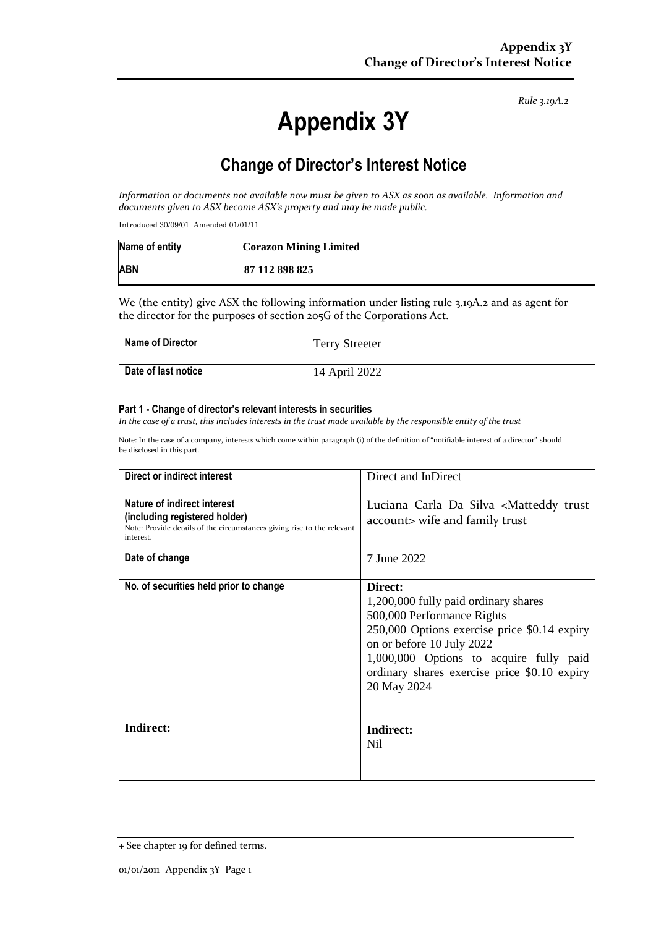*Rule 3.19A.2*

# **Appendix 3Y**

# **Change of Director's Interest Notice**

*Information or documents not available now must be given to ASX as soon as available. Information and documents given to ASX become ASX's property and may be made public.*

Introduced 30/09/01 Amended 01/01/11

| Name of entity | <b>Corazon Mining Limited</b> |
|----------------|-------------------------------|
| <b>ABN</b>     | 87 112 898 825                |

We (the entity) give ASX the following information under listing rule 3.19A.2 and as agent for the director for the purposes of section 205G of the Corporations Act.

| Name of Director    | <b>Terry Streeter</b> |
|---------------------|-----------------------|
| Date of last notice | 14 April 2022         |

#### **Part 1 - Change of director's relevant interests in securities**

*In the case of a trust, this includes interests in the trust made available by the responsible entity of the trust*

Note: In the case of a company, interests which come within paragraph (i) of the definition of "notifiable interest of a director" should be disclosed in this part.

| Direct or indirect interest                                                                                                                         | Direct and InDirect                                                                                                                                                                                                                                                  |  |
|-----------------------------------------------------------------------------------------------------------------------------------------------------|----------------------------------------------------------------------------------------------------------------------------------------------------------------------------------------------------------------------------------------------------------------------|--|
| Nature of indirect interest<br>(including registered holder)<br>Note: Provide details of the circumstances giving rise to the relevant<br>interest. | Luciana Carla Da Silva <matteddy trust<br="">account&gt; wife and family trust</matteddy>                                                                                                                                                                            |  |
| Date of change                                                                                                                                      | 7 June 2022                                                                                                                                                                                                                                                          |  |
| No. of securities held prior to change                                                                                                              | Direct:<br>1,200,000 fully paid ordinary shares<br>500,000 Performance Rights<br>250,000 Options exercise price \$0.14 expiry<br>on or before 10 July 2022<br>1,000,000 Options to acquire fully paid<br>ordinary shares exercise price \$0.10 expiry<br>20 May 2024 |  |
| Indirect:                                                                                                                                           | Indirect:<br>Nil                                                                                                                                                                                                                                                     |  |

<sup>+</sup> See chapter 19 for defined terms.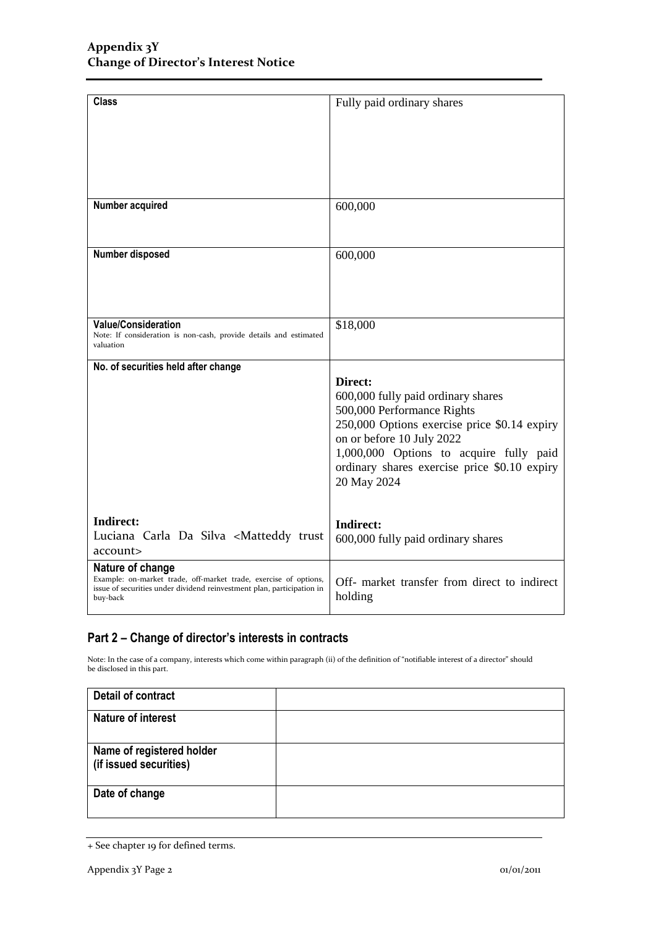| <b>Class</b>                                                                                                                                                               | Fully paid ordinary shares                                                                                                                                                                                                                                         |
|----------------------------------------------------------------------------------------------------------------------------------------------------------------------------|--------------------------------------------------------------------------------------------------------------------------------------------------------------------------------------------------------------------------------------------------------------------|
|                                                                                                                                                                            |                                                                                                                                                                                                                                                                    |
|                                                                                                                                                                            |                                                                                                                                                                                                                                                                    |
| Number acquired                                                                                                                                                            | 600,000                                                                                                                                                                                                                                                            |
| Number disposed                                                                                                                                                            | 600,000                                                                                                                                                                                                                                                            |
| <b>Value/Consideration</b><br>Note: If consideration is non-cash, provide details and estimated<br>valuation                                                               | \$18,000                                                                                                                                                                                                                                                           |
| No. of securities held after change                                                                                                                                        | Direct:<br>600,000 fully paid ordinary shares<br>500,000 Performance Rights<br>250,000 Options exercise price \$0.14 expiry<br>on or before 10 July 2022<br>1,000,000 Options to acquire fully paid<br>ordinary shares exercise price \$0.10 expiry<br>20 May 2024 |
| <b>Indirect:</b><br>Luciana Carla Da Silva <matteddy trust<br="">account&gt;</matteddy>                                                                                    | Indirect:<br>600,000 fully paid ordinary shares                                                                                                                                                                                                                    |
| Nature of change<br>Example: on-market trade, off-market trade, exercise of options,<br>issue of securities under dividend reinvestment plan, participation in<br>buy-back | Off- market transfer from direct to indirect<br>holding                                                                                                                                                                                                            |

### **Part 2 – Change of director's interests in contracts**

Note: In the case of a company, interests which come within paragraph (ii) of the definition of "notifiable interest of a director" should be disclosed in this part.

| <b>Detail of contract</b>                           |  |
|-----------------------------------------------------|--|
| <b>Nature of interest</b>                           |  |
| Name of registered holder<br>(if issued securities) |  |
| Date of change                                      |  |

<sup>+</sup> See chapter 19 for defined terms.